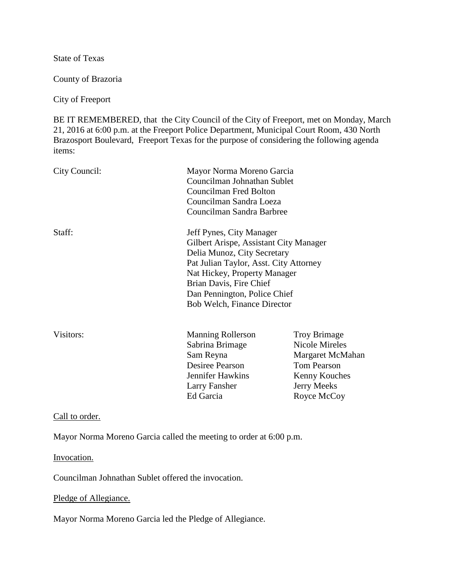State of Texas

County of Brazoria

City of Freeport

BE IT REMEMBERED, that the City Council of the City of Freeport, met on Monday, March 21, 2016 at 6:00 p.m. at the Freeport Police Department, Municipal Court Room, 430 North Brazosport Boulevard, Freeport Texas for the purpose of considering the following agenda items:

| City Council: | Mayor Norma Moreno Garcia<br>Councilman Johnathan Sublet<br>Councilman Fred Bolton<br>Councilman Sandra Loeza<br>Councilman Sandra Barbree                                                                                                                            |                                                                                                                                |
|---------------|-----------------------------------------------------------------------------------------------------------------------------------------------------------------------------------------------------------------------------------------------------------------------|--------------------------------------------------------------------------------------------------------------------------------|
| Staff:        | Jeff Pynes, City Manager<br>Gilbert Arispe, Assistant City Manager<br>Delia Munoz, City Secretary<br>Pat Julian Taylor, Asst. City Attorney<br>Nat Hickey, Property Manager<br>Brian Davis, Fire Chief<br>Dan Pennington, Police Chief<br>Bob Welch, Finance Director |                                                                                                                                |
| Visitors:     | <b>Manning Rollerson</b><br>Sabrina Brimage<br>Sam Reyna<br>Desiree Pearson<br><b>Jennifer Hawkins</b><br>Larry Fansher<br>Ed Garcia                                                                                                                                  | <b>Troy Brimage</b><br>Nicole Mireles<br>Margaret McMahan<br><b>Tom Pearson</b><br>Kenny Kouches<br>Jerry Meeks<br>Royce McCoy |

Call to order.

Mayor Norma Moreno Garcia called the meeting to order at 6:00 p.m.

#### Invocation.

Councilman Johnathan Sublet offered the invocation.

Pledge of Allegiance.

Mayor Norma Moreno Garcia led the Pledge of Allegiance.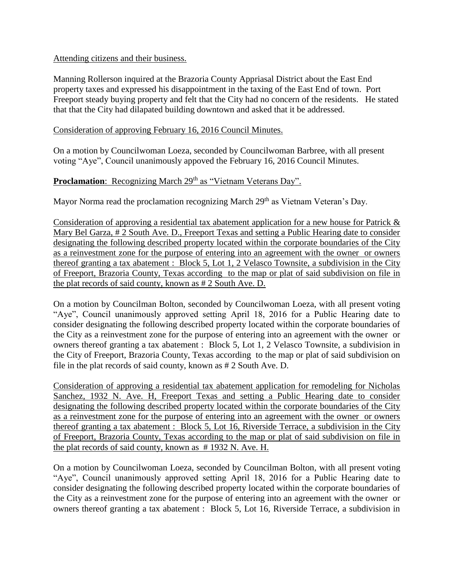### Attending citizens and their business.

Manning Rollerson inquired at the Brazoria County Appriasal District about the East End property taxes and expressed his disappointment in the taxing of the East End of town. Port Freeport steady buying property and felt that the City had no concern of the residents. He stated that that the City had dilapated building downtown and asked that it be addressed.

### Consideration of approving February 16, 2016 Council Minutes.

On a motion by Councilwoman Loeza, seconded by Councilwoman Barbree, with all present voting "Aye", Council unanimously appoved the February 16, 2016 Council Minutes.

## **Proclamation**: Recognizing March 29<sup>th</sup> as "Vietnam Veterans Day".

Mayor Norma read the proclamation recognizing March 29<sup>th</sup> as Vietnam Veteran's Day.

Consideration of approving a residential tax abatement application for a new house for Patrick & Mary Bel Garza, # 2 South Ave. D., Freeport Texas and setting a Public Hearing date to consider designating the following described property located within the corporate boundaries of the City as a reinvestment zone for the purpose of entering into an agreement with the owner or owners thereof granting a tax abatement : Block 5, Lot 1, 2 Velasco Townsite, a subdivision in the City of Freeport, Brazoria County, Texas according to the map or plat of said subdivision on file in the plat records of said county, known as # 2 South Ave. D.

On a motion by Councilman Bolton, seconded by Councilwoman Loeza, with all present voting "Aye", Council unanimously approved setting April 18, 2016 for a Public Hearing date to consider designating the following described property located within the corporate boundaries of the City as a reinvestment zone for the purpose of entering into an agreement with the owner or owners thereof granting a tax abatement : Block 5, Lot 1, 2 Velasco Townsite, a subdivision in the City of Freeport, Brazoria County, Texas according to the map or plat of said subdivision on file in the plat records of said county, known as # 2 South Ave. D.

Consideration of approving a residential tax abatement application for remodeling for Nicholas Sanchez, 1932 N. Ave. H, Freeport Texas and setting a Public Hearing date to consider designating the following described property located within the corporate boundaries of the City as a reinvestment zone for the purpose of entering into an agreement with the owner or owners thereof granting a tax abatement : Block 5, Lot 16, Riverside Terrace, a subdivision in the City of Freeport, Brazoria County, Texas according to the map or plat of said subdivision on file in the plat records of said county, known as # 1932 N. Ave. H.

On a motion by Councilwoman Loeza, seconded by Councilman Bolton, with all present voting "Aye", Council unanimously approved setting April 18, 2016 for a Public Hearing date to consider designating the following described property located within the corporate boundaries of the City as a reinvestment zone for the purpose of entering into an agreement with the owner or owners thereof granting a tax abatement : Block 5, Lot 16, Riverside Terrace, a subdivision in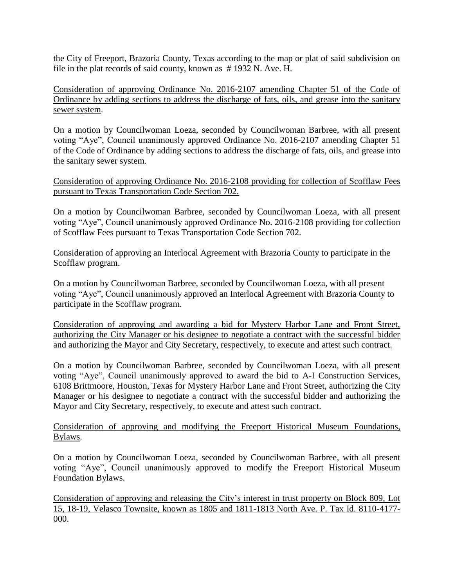the City of Freeport, Brazoria County, Texas according to the map or plat of said subdivision on file in the plat records of said county, known as # 1932 N. Ave. H.

Consideration of approving Ordinance No. 2016-2107 amending Chapter 51 of the Code of Ordinance by adding sections to address the discharge of fats, oils, and grease into the sanitary sewer system.

On a motion by Councilwoman Loeza, seconded by Councilwoman Barbree, with all present voting "Aye", Council unanimously approved Ordinance No. 2016-2107 amending Chapter 51 of the Code of Ordinance by adding sections to address the discharge of fats, oils, and grease into the sanitary sewer system.

Consideration of approving Ordinance No. 2016-2108 providing for collection of Scofflaw Fees pursuant to Texas Transportation Code Section 702.

On a motion by Councilwoman Barbree, seconded by Councilwoman Loeza, with all present voting "Aye", Council unanimously approved Ordinance No. 2016-2108 providing for collection of Scofflaw Fees pursuant to Texas Transportation Code Section 702.

Consideration of approving an Interlocal Agreement with Brazoria County to participate in the Scofflaw program.

On a motion by Councilwoman Barbree, seconded by Councilwoman Loeza, with all present voting "Aye", Council unanimously approved an Interlocal Agreement with Brazoria County to participate in the Scofflaw program.

Consideration of approving and awarding a bid for Mystery Harbor Lane and Front Street, authorizing the City Manager or his designee to negotiate a contract with the successful bidder and authorizing the Mayor and City Secretary, respectively, to execute and attest such contract.

On a motion by Councilwoman Barbree, seconded by Councilwoman Loeza, with all present voting "Aye", Council unanimously approved to award the bid to A-I Construction Services, 6108 Brittmoore, Houston, Texas for Mystery Harbor Lane and Front Street, authorizing the City Manager or his designee to negotiate a contract with the successful bidder and authorizing the Mayor and City Secretary, respectively, to execute and attest such contract.

Consideration of approving and modifying the Freeport Historical Museum Foundations, Bylaws.

On a motion by Councilwoman Loeza, seconded by Councilwoman Barbree, with all present voting "Aye", Council unanimously approved to modify the Freeport Historical Museum Foundation Bylaws.

Consideration of approving and releasing the City's interest in trust property on Block 809, Lot 15, 18-19, Velasco Townsite, known as 1805 and 1811-1813 North Ave. P. Tax Id. 8110-4177- 000.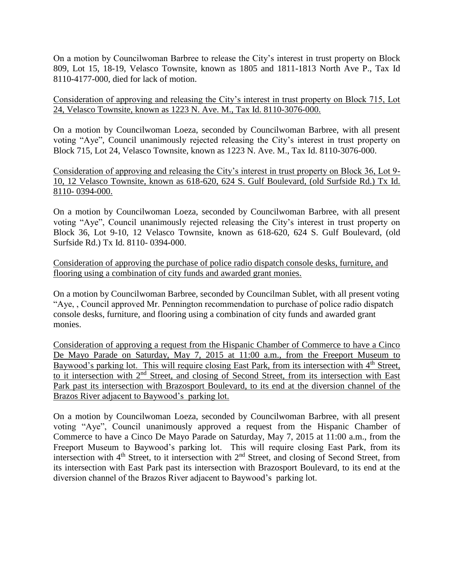On a motion by Councilwoman Barbree to release the City's interest in trust property on Block 809, Lot 15, 18-19, Velasco Townsite, known as 1805 and 1811-1813 North Ave P., Tax Id 8110-4177-000, died for lack of motion.

Consideration of approving and releasing the City's interest in trust property on Block 715, Lot 24, Velasco Townsite, known as 1223 N. Ave. M., Tax Id. 8110-3076-000.

On a motion by Councilwoman Loeza, seconded by Councilwoman Barbree, with all present voting "Aye", Council unanimously rejected releasing the City's interest in trust property on Block 715, Lot 24, Velasco Townsite, known as 1223 N. Ave. M., Tax Id. 8110-3076-000.

Consideration of approving and releasing the City's interest in trust property on Block 36, Lot 9- 10, 12 Velasco Townsite, known as 618-620, 624 S. Gulf Boulevard, (old Surfside Rd.) Tx Id. 8110- 0394-000.

On a motion by Councilwoman Loeza, seconded by Councilwoman Barbree, with all present voting "Aye", Council unanimously rejected releasing the City's interest in trust property on Block 36, Lot 9-10, 12 Velasco Townsite, known as 618-620, 624 S. Gulf Boulevard, (old Surfside Rd.) Tx Id. 8110- 0394-000.

Consideration of approving the purchase of police radio dispatch console desks, furniture, and flooring using a combination of city funds and awarded grant monies.

On a motion by Councilwoman Barbree, seconded by Councilman Sublet, with all present voting "Aye, , Council approved Mr. Pennington recommendation to purchase of police radio dispatch console desks, furniture, and flooring using a combination of city funds and awarded grant monies.

Consideration of approving a request from the Hispanic Chamber of Commerce to have a Cinco De Mayo Parade on Saturday, May 7, 2015 at 11:00 a.m., from the Freeport Museum to Baywood's parking lot. This will require closing East Park, from its intersection with 4<sup>th</sup> Street, to it intersection with 2nd Street, and closing of Second Street, from its intersection with East Park past its intersection with Brazosport Boulevard, to its end at the diversion channel of the Brazos River adjacent to Baywood's parking lot.

On a motion by Councilwoman Loeza, seconded by Councilwoman Barbree, with all present voting "Aye", Council unanimously approved a request from the Hispanic Chamber of Commerce to have a Cinco De Mayo Parade on Saturday, May 7, 2015 at 11:00 a.m., from the Freeport Museum to Baywood's parking lot. This will require closing East Park, from its intersection with 4<sup>th</sup> Street, to it intersection with 2<sup>nd</sup> Street, and closing of Second Street, from its intersection with East Park past its intersection with Brazosport Boulevard, to its end at the diversion channel of the Brazos River adjacent to Baywood's parking lot.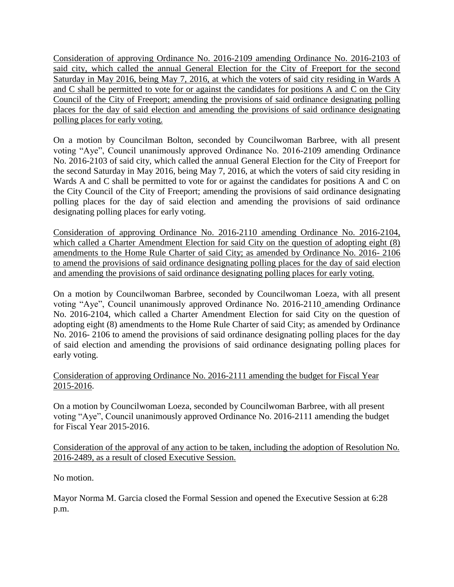Consideration of approving Ordinance No. 2016-2109 amending Ordinance No. 2016-2103 of said city, which called the annual General Election for the City of Freeport for the second Saturday in May 2016, being May 7, 2016, at which the voters of said city residing in Wards A and C shall be permitted to vote for or against the candidates for positions A and C on the City Council of the City of Freeport; amending the provisions of said ordinance designating polling places for the day of said election and amending the provisions of said ordinance designating polling places for early voting.

On a motion by Councilman Bolton, seconded by Councilwoman Barbree, with all present voting "Aye", Council unanimously approved Ordinance No. 2016-2109 amending Ordinance No. 2016-2103 of said city, which called the annual General Election for the City of Freeport for the second Saturday in May 2016, being May 7, 2016, at which the voters of said city residing in Wards A and C shall be permitted to vote for or against the candidates for positions A and C on the City Council of the City of Freeport; amending the provisions of said ordinance designating polling places for the day of said election and amending the provisions of said ordinance designating polling places for early voting.

Consideration of approving Ordinance No. 2016-2110 amending Ordinance No. 2016-2104, which called a Charter Amendment Election for said City on the question of adopting eight (8) amendments to the Home Rule Charter of said City; as amended by Ordinance No. 2016- 2106 to amend the provisions of said ordinance designating polling places for the day of said election and amending the provisions of said ordinance designating polling places for early voting.

On a motion by Councilwoman Barbree, seconded by Councilwoman Loeza, with all present voting "Aye", Council unanimously approved Ordinance No. 2016-2110 amending Ordinance No. 2016-2104, which called a Charter Amendment Election for said City on the question of adopting eight (8) amendments to the Home Rule Charter of said City; as amended by Ordinance No. 2016- 2106 to amend the provisions of said ordinance designating polling places for the day of said election and amending the provisions of said ordinance designating polling places for early voting.

# Consideration of approving Ordinance No. 2016-2111 amending the budget for Fiscal Year 2015-2016.

On a motion by Councilwoman Loeza, seconded by Councilwoman Barbree, with all present voting "Aye", Council unanimously approved Ordinance No. 2016-2111 amending the budget for Fiscal Year 2015-2016.

## Consideration of the approval of any action to be taken, including the adoption of Resolution No. 2016-2489, as a result of closed Executive Session.

No motion.

Mayor Norma M. Garcia closed the Formal Session and opened the Executive Session at 6:28 p.m.